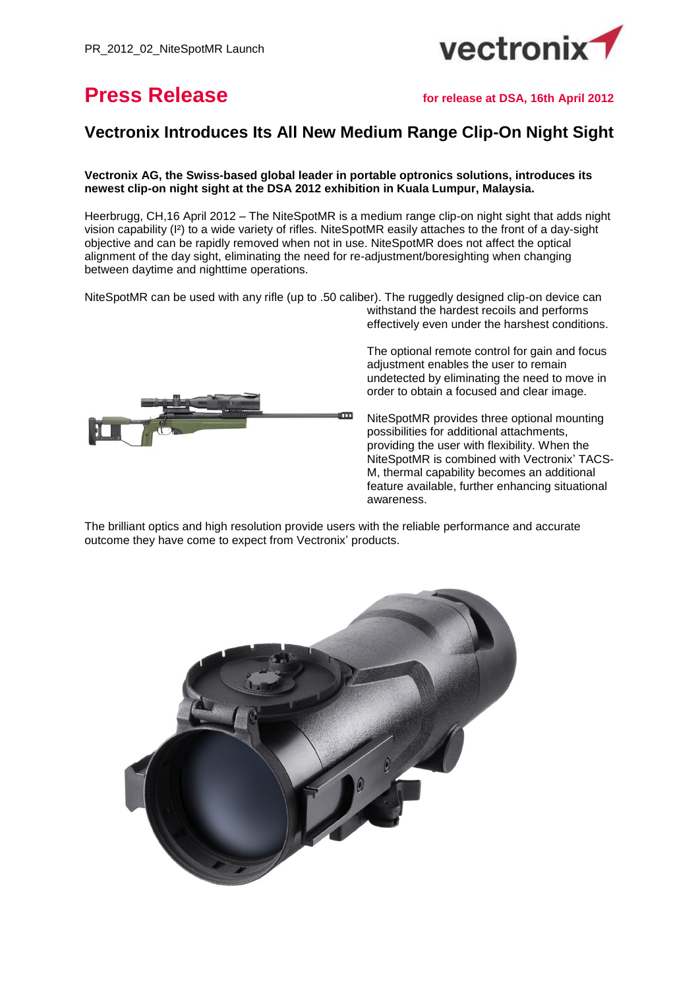

# **Press Release for release at DSA, 16th April 2012**

## **Vectronix Introduces Its All New Medium Range Clip-On Night Sight**

**Vectronix AG, the Swiss-based global leader in portable optronics solutions, introduces its newest clip-on night sight at the DSA 2012 exhibition in Kuala Lumpur, Malaysia.**

Heerbrugg, CH,16 April 2012 – The NiteSpotMR is a medium range clip-on night sight that adds night vision capability (I²) to a wide variety of rifles. NiteSpotMR easily attaches to the front of a day-sight objective and can be rapidly removed when not in use. NiteSpotMR does not affect the optical alignment of the day sight, eliminating the need for re-adjustment/boresighting when changing between daytime and nighttime operations.

NiteSpotMR can be used with any rifle (up to .50 caliber). The ruggedly designed clip-on device can withstand the hardest recoils and performs



effectively even under the harshest conditions.

The optional remote control for gain and focus adjustment enables the user to remain undetected by eliminating the need to move in order to obtain a focused and clear image.

NiteSpotMR provides three optional mounting possibilities for additional attachments, providing the user with flexibility. When the NiteSpotMR is combined with Vectronix' TACS-M, thermal capability becomes an additional feature available, further enhancing situational awareness.

The brilliant optics and high resolution provide users with the reliable performance and accurate outcome they have come to expect from Vectronix' products.